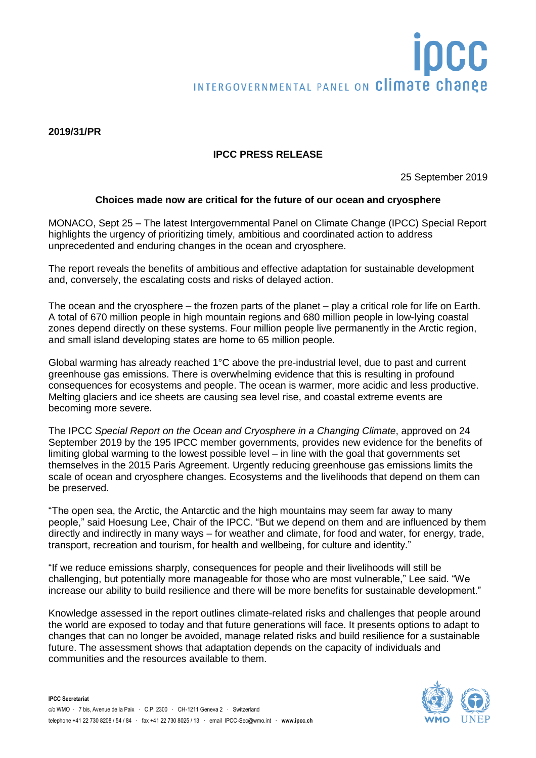# OCC INTERGOVERNMENTAL PANEL ON Climate change

#### **2019/31/PR**

# **IPCC PRESS RELEASE**

25 September 2019

# **Choices made now are critical for the future of our ocean and cryosphere**

MONACO, Sept 25 – The latest Intergovernmental Panel on Climate Change (IPCC) Special Report highlights the urgency of prioritizing timely, ambitious and coordinated action to address unprecedented and enduring changes in the ocean and cryosphere.

The report reveals the benefits of ambitious and effective adaptation for sustainable development and, conversely, the escalating costs and risks of delayed action.

The ocean and the cryosphere – the frozen parts of the planet – play a critical role for life on Earth. A total of 670 million people in high mountain regions and 680 million people in low-lying coastal zones depend directly on these systems. Four million people live permanently in the Arctic region, and small island developing states are home to 65 million people.

Global warming has already reached 1°C above the pre-industrial level, due to past and current greenhouse gas emissions. There is overwhelming evidence that this is resulting in profound consequences for ecosystems and people. The ocean is warmer, more acidic and less productive. Melting glaciers and ice sheets are causing sea level rise, and coastal extreme events are becoming more severe.

The IPCC *Special Report on the Ocean and Cryosphere in a Changing Climate*, approved on 24 September 2019 by the 195 IPCC member governments, provides new evidence for the benefits of limiting global warming to the lowest possible level – in line with the goal that governments set themselves in the 2015 Paris Agreement. Urgently reducing greenhouse gas emissions limits the scale of ocean and cryosphere changes. Ecosystems and the livelihoods that depend on them can be preserved.

"The open sea, the Arctic, the Antarctic and the high mountains may seem far away to many people," said Hoesung Lee, Chair of the IPCC. "But we depend on them and are influenced by them directly and indirectly in many ways – for weather and climate, for food and water, for energy, trade, transport, recreation and tourism, for health and wellbeing, for culture and identity."

"If we reduce emissions sharply, consequences for people and their livelihoods will still be challenging, but potentially more manageable for those who are most vulnerable," Lee said. "We increase our ability to build resilience and there will be more benefits for sustainable development."

Knowledge assessed in the report outlines climate-related risks and challenges that people around the world are exposed to today and that future generations will face. It presents options to adapt to changes that can no longer be avoided, manage related risks and build resilience for a sustainable future. The assessment shows that adaptation depends on the capacity of individuals and communities and the resources available to them.

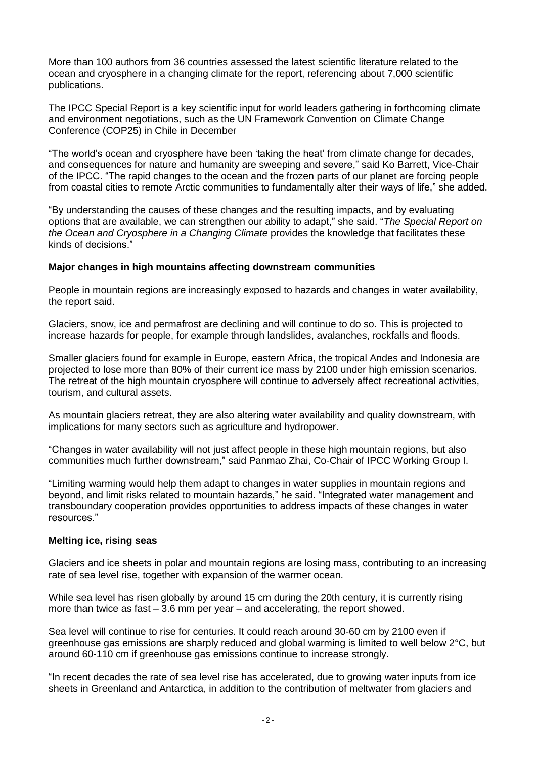More than 100 authors from 36 countries assessed the latest scientific literature related to the ocean and cryosphere in a changing climate for the report, referencing about 7,000 scientific publications.

The IPCC Special Report is a key scientific input for world leaders gathering in forthcoming climate and environment negotiations, such as the UN Framework Convention on Climate Change Conference (COP25) in Chile in December

"The world's ocean and cryosphere have been 'taking the heat' from climate change for decades, and consequences for nature and humanity are sweeping and severe," said Ko Barrett, Vice-Chair of the IPCC. "The rapid changes to the ocean and the frozen parts of our planet are forcing people from coastal cities to remote Arctic communities to fundamentally alter their ways of life," she added.

"By understanding the causes of these changes and the resulting impacts, and by evaluating options that are available, we can strengthen our ability to adapt," she said. "*The Special Report on the Ocean and Cryosphere in a Changing Climate* provides the knowledge that facilitates these kinds of decisions."

# **Major changes in high mountains affecting downstream communities**

People in mountain regions are increasingly exposed to hazards and changes in water availability, the report said.

Glaciers, snow, ice and permafrost are declining and will continue to do so. This is projected to increase hazards for people, for example through landslides, avalanches, rockfalls and floods.

Smaller glaciers found for example in Europe, eastern Africa, the tropical Andes and Indonesia are projected to lose more than 80% of their current ice mass by 2100 under high emission scenarios. The retreat of the high mountain cryosphere will continue to adversely affect recreational activities, tourism, and cultural assets.

As mountain glaciers retreat, they are also altering water availability and quality downstream, with implications for many sectors such as agriculture and hydropower.

"Changes in water availability will not just affect people in these high mountain regions, but also communities much further downstream," said Panmao Zhai, Co-Chair of IPCC Working Group I.

"Limiting warming would help them adapt to changes in water supplies in mountain regions and beyond, and limit risks related to mountain hazards," he said. "Integrated water management and transboundary cooperation provides opportunities to address impacts of these changes in water resources."

# **Melting ice, rising seas**

Glaciers and ice sheets in polar and mountain regions are losing mass, contributing to an increasing rate of sea level rise, together with expansion of the warmer ocean.

While sea level has risen globally by around 15 cm during the 20th century, it is currently rising more than twice as fast – 3.6 mm per year – and accelerating, the report showed.

Sea level will continue to rise for centuries. It could reach around 30-60 cm by 2100 even if greenhouse gas emissions are sharply reduced and global warming is limited to well below 2°C, but around 60-110 cm if greenhouse gas emissions continue to increase strongly.

"In recent decades the rate of sea level rise has accelerated, due to growing water inputs from ice sheets in Greenland and Antarctica, in addition to the contribution of meltwater from glaciers and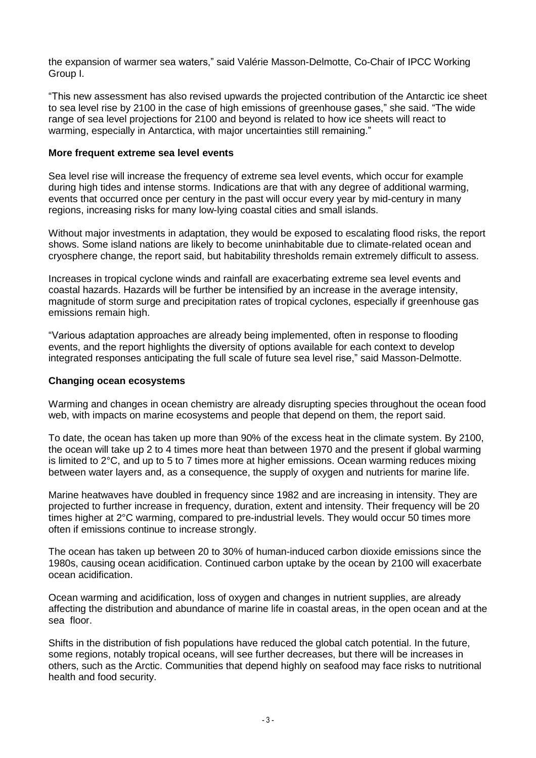the expansion of warmer sea waters," said Valérie Masson-Delmotte, Co-Chair of IPCC Working Group I.

"This new assessment has also revised upwards the projected contribution of the Antarctic ice sheet to sea level rise by 2100 in the case of high emissions of greenhouse gases," she said. "The wide range of sea level projections for 2100 and beyond is related to how ice sheets will react to warming, especially in Antarctica, with major uncertainties still remaining."

# **More frequent extreme sea level events**

Sea level rise will increase the frequency of extreme sea level events, which occur for example during high tides and intense storms. Indications are that with any degree of additional warming, events that occurred once per century in the past will occur every year by mid-century in many regions, increasing risks for many low-lying coastal cities and small islands.

Without major investments in adaptation, they would be exposed to escalating flood risks, the report shows. Some island nations are likely to become uninhabitable due to climate-related ocean and cryosphere change, the report said, but habitability thresholds remain extremely difficult to assess.

Increases in tropical cyclone winds and rainfall are exacerbating extreme sea level events and coastal hazards. Hazards will be further be intensified by an increase in the average intensity, magnitude of storm surge and precipitation rates of tropical cyclones, especially if greenhouse gas emissions remain high.

"Various adaptation approaches are already being implemented, often in response to flooding events, and the report highlights the diversity of options available for each context to develop integrated responses anticipating the full scale of future sea level rise," said Masson-Delmotte.

# **Changing ocean ecosystems**

Warming and changes in ocean chemistry are already disrupting species throughout the ocean food web, with impacts on marine ecosystems and people that depend on them, the report said.

To date, the ocean has taken up more than 90% of the excess heat in the climate system. By 2100, the ocean will take up 2 to 4 times more heat than between 1970 and the present if global warming is limited to 2°C, and up to 5 to 7 times more at higher emissions. Ocean warming reduces mixing between water layers and, as a consequence, the supply of oxygen and nutrients for marine life.

Marine heatwaves have doubled in frequency since 1982 and are increasing in intensity. They are projected to further increase in frequency, duration, extent and intensity. Their frequency will be 20 times higher at 2°C warming, compared to pre-industrial levels. They would occur 50 times more often if emissions continue to increase strongly.

The ocean has taken up between 20 to 30% of human-induced carbon dioxide emissions since the 1980s, causing ocean acidification. Continued carbon uptake by the ocean by 2100 will exacerbate ocean acidification.

Ocean warming and acidification, loss of oxygen and changes in nutrient supplies, are already affecting the distribution and abundance of marine life in coastal areas, in the open ocean and at the sea floor.

Shifts in the distribution of fish populations have reduced the global catch potential. In the future, some regions, notably tropical oceans, will see further decreases, but there will be increases in others, such as the Arctic. Communities that depend highly on seafood may face risks to nutritional health and food security.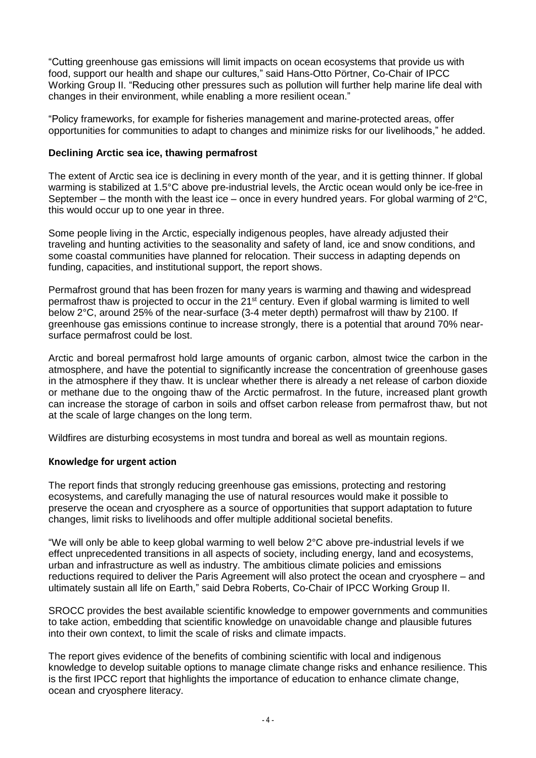"Cutting greenhouse gas emissions will limit impacts on ocean ecosystems that provide us with food, support our health and shape our cultures," said Hans-Otto Pörtner, Co-Chair of IPCC Working Group II. "Reducing other pressures such as pollution will further help marine life deal with changes in their environment, while enabling a more resilient ocean."

"Policy frameworks, for example for fisheries management and marine-protected areas, offer opportunities for communities to adapt to changes and minimize risks for our livelihoods," he added.

# **Declining Arctic sea ice, thawing permafrost**

The extent of Arctic sea ice is declining in every month of the year, and it is getting thinner. If global warming is stabilized at 1.5°C above pre-industrial levels, the Arctic ocean would only be ice-free in September – the month with the least ice – once in every hundred years. For global warming of  $2^{\circ}C$ , this would occur up to one year in three.

Some people living in the Arctic, especially indigenous peoples, have already adjusted their traveling and hunting activities to the seasonality and safety of land, ice and snow conditions, and some coastal communities have planned for relocation. Their success in adapting depends on funding, capacities, and institutional support, the report shows.

Permafrost ground that has been frozen for many years is warming and thawing and widespread permafrost thaw is projected to occur in the 21<sup>st</sup> century. Even if global warming is limited to well below 2°C, around 25% of the near-surface (3-4 meter depth) permafrost will thaw by 2100. If greenhouse gas emissions continue to increase strongly, there is a potential that around 70% nearsurface permafrost could be lost.

Arctic and boreal permafrost hold large amounts of organic carbon, almost twice the carbon in the atmosphere, and have the potential to significantly increase the concentration of greenhouse gases in the atmosphere if they thaw. It is unclear whether there is already a net release of carbon dioxide or methane due to the ongoing thaw of the Arctic permafrost. In the future, increased plant growth can increase the storage of carbon in soils and offset carbon release from permafrost thaw, but not at the scale of large changes on the long term.

Wildfires are disturbing ecosystems in most tundra and boreal as well as mountain regions.

# **Knowledge for urgent action**

The report finds that strongly reducing greenhouse gas emissions, protecting and restoring ecosystems, and carefully managing the use of natural resources would make it possible to preserve the ocean and cryosphere as a source of opportunities that support adaptation to future changes, limit risks to livelihoods and offer multiple additional societal benefits.

"We will only be able to keep global warming to well below 2°C above pre-industrial levels if we effect unprecedented transitions in all aspects of society, including energy, land and ecosystems, urban and infrastructure as well as industry. The ambitious climate policies and emissions reductions required to deliver the Paris Agreement will also protect the ocean and cryosphere – and ultimately sustain all life on Earth," said Debra Roberts, Co-Chair of IPCC Working Group II.

SROCC provides the best available scientific knowledge to empower governments and communities to take action, embedding that scientific knowledge on unavoidable change and plausible futures into their own context, to limit the scale of risks and climate impacts.

The report gives evidence of the benefits of combining scientific with local and indigenous knowledge to develop suitable options to manage climate change risks and enhance resilience. This is the first IPCC report that highlights the importance of education to enhance climate change, ocean and cryosphere literacy.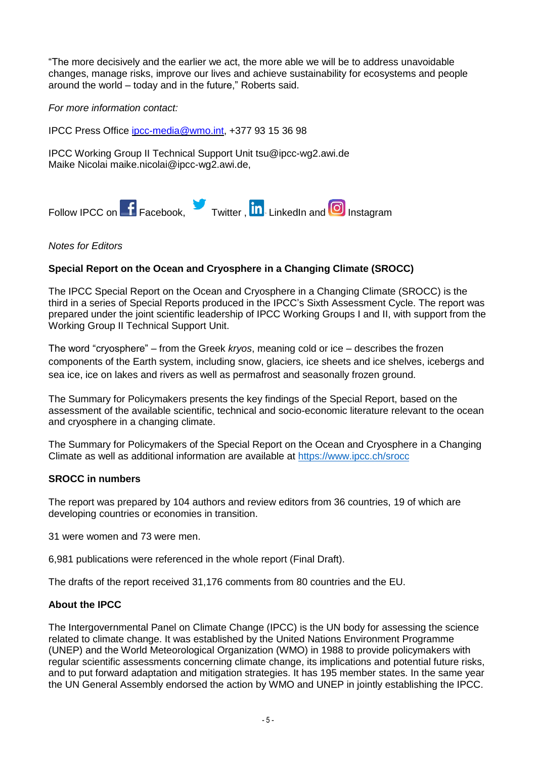"The more decisively and the earlier we act, the more able we will be to address unavoidable changes, manage risks, improve our lives and achieve sustainability for ecosystems and people around the world – today and in the future," Roberts said.

*For more information contact:*

IPCC Press Office [ipcc-media@wmo.int,](mailto:ipcc-media@wmo.int) +377 93 15 36 98

IPCC Working Group II Technical Support Unit tsu@ipcc-wg2.awi.de Maike Nicolai [maike.nicolai@ipcc-wg2.awi.de,](mailto:maike.nicolai@ipcc-wg2.awi.de)



# *Notes for Editors*

# **Special Report on the Ocean and Cryosphere in a Changing Climate (SROCC)**

The IPCC Special Report on the Ocean and Cryosphere in a Changing Climate (SROCC) is the third in a series of Special Reports produced in the IPCC's Sixth Assessment Cycle. The report was prepared under the joint scientific leadership of IPCC Working Groups I and II, with support from the Working Group II Technical Support Unit.

The word "cryosphere" – from the Greek *kryos*, meaning cold or ice – describes the frozen components of the Earth system, including snow, glaciers, ice sheets and ice shelves, icebergs and sea ice, ice on lakes and rivers as well as permafrost and seasonally frozen ground.

The Summary for Policymakers presents the key findings of the Special Report, based on the assessment of the available scientific, technical and socio-economic literature relevant to the ocean and cryosphere in a changing climate.

The Summary for Policymakers of the Special Report on the Ocean and Cryosphere in a Changing Climate as well as additional information are available at <https://www.ipcc.ch/srocc>

# **SROCC in numbers**

The report was prepared by 104 authors and review editors from 36 countries, 19 of which are developing countries or economies in transition.

31 were women and 73 were men.

6,981 publications were referenced in the whole report (Final Draft).

The drafts of the report received 31,176 comments from 80 countries and the EU.

# **About the IPCC**

The Intergovernmental Panel on Climate Change (IPCC) is the UN body for assessing the science related to climate change. It was established by the United Nations Environment Programme (UNEP) and the World Meteorological Organization (WMO) in 1988 to provide policymakers with regular scientific assessments concerning climate change, its implications and potential future risks, and to put forward adaptation and mitigation strategies. It has 195 member states. In the same year the UN General Assembly endorsed the action by WMO and UNEP in jointly establishing the IPCC.